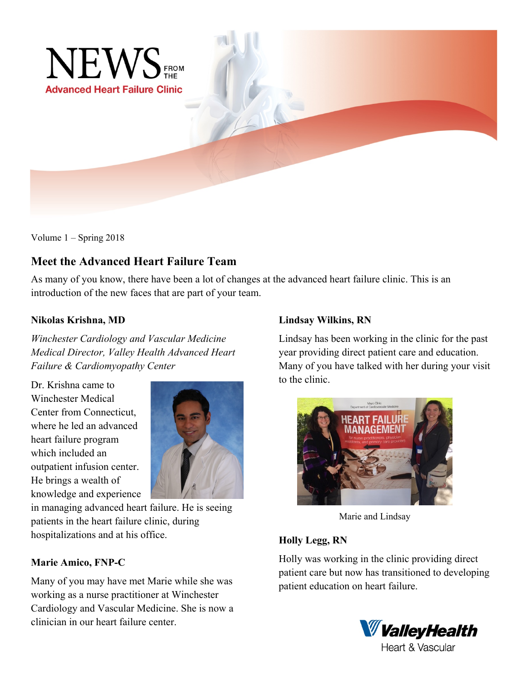

Volume 1 – Spring 2018

# **Meet the Advanced Heart Failure Team**

As many of you know, there have been a lot of changes at the advanced heart failure clinic. This is an introduction of the new faces that are part of your team.

## **Nikolas Krishna, MD**

*Winchester Cardiology and Vascular Medicine Medical Director, Valley Health Advanced Heart Failure & Cardiomyopathy Center*

Dr. Krishna came to Winchester Medical Center from Connecticut, where he led an advanced heart failure program which included an outpatient infusion center. He brings a wealth of knowledge and experience



in managing advanced heart failure. He is seeing patients in the heart failure clinic, during hospitalizations and at his office.

## **Marie Amico, FNP-C**

Many of you may have met Marie while she was working as a nurse practitioner at Winchester Cardiology and Vascular Medicine. She is now a clinician in our heart failure center.

## **Lindsay Wilkins, RN**

Lindsay has been working in the clinic for the past year providing direct patient care and education. Many of you have talked with her during your visit to the clinic.



Marie and Lindsay

## **Holly Legg, RN**

Holly was working in the clinic providing direct patient care but now has transitioned to developing patient education on heart failure.